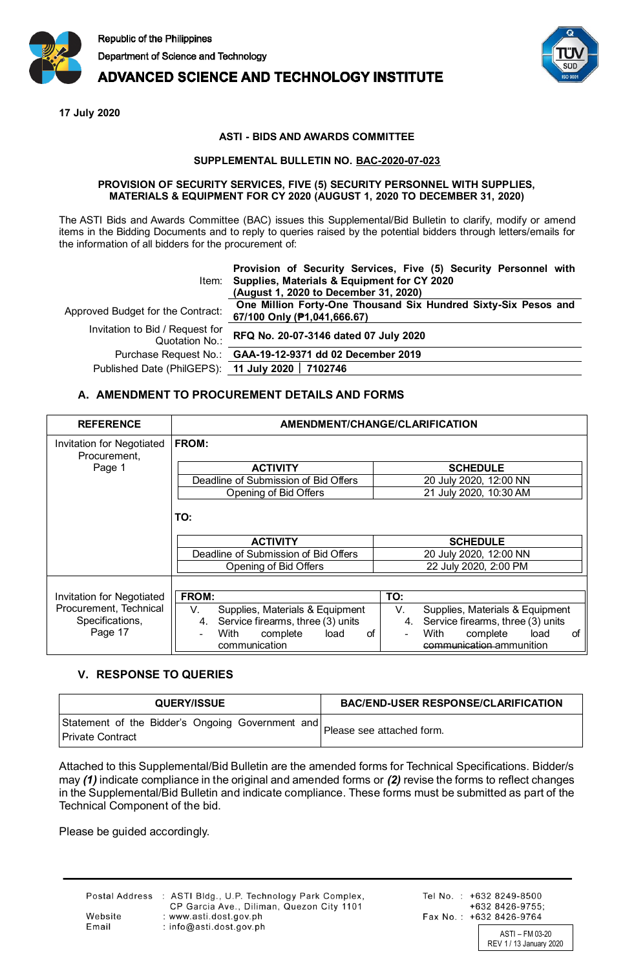

# **ADVANCED SCIENCE AND TECHNOLOGY INSTITUTE**

**17 July 2020**

#### **ASTI - BIDS AND AWARDS COMMITTEE**

### **SUPPLEMENTAL BULLETIN NO. BAC-2020-07-023**

#### **PROVISION OF SECURITY SERVICES, FIVE (5) SECURITY PERSONNEL WITH SUPPLIES, MATERIALS & EQUIPMENT FOR CY 2020 (AUGUST 1, 2020 TO DECEMBER 31, 2020)**

The ASTI Bids and Awards Committee (BAC) issues this Supplemental/Bid Bulletin to clarify, modify or amend items in the Bidding Documents and to reply to queries raised by the potential bidders through letters/emails for the information of all bidders for the procurement of:

|                                                   | Provision of Security Services, Five (5) Security Personnel with<br>Item: Supplies, Materials & Equipment for CY 2020<br>(August 1, 2020 to December 31, 2020) |
|---------------------------------------------------|----------------------------------------------------------------------------------------------------------------------------------------------------------------|
| Approved Budget for the Contract:                 | One Million Forty-One Thousand Six Hundred Sixty-Six Pesos and<br>67/100 Only (P1,041,666.67)                                                                  |
| Invitation to Bid / Request for<br>Quotation No.: | RFQ No. 20-07-3146 dated 07 July 2020                                                                                                                          |
|                                                   | Purchase Request No.: GAA-19-12-9371 dd 02 December 2019                                                                                                       |
| Published Date (PhilGEPS): 11 July 2020   7102746 |                                                                                                                                                                |

## **A. AMENDMENT TO PROCUREMENT DETAILS AND FORMS**

| <b>REFERENCE</b>                 | AMENDMENT/CHANGE/CLARIFICATION          |                                         |  |  |  |  |
|----------------------------------|-----------------------------------------|-----------------------------------------|--|--|--|--|
| Invitation for Negotiated        | <b>FROM:</b>                            |                                         |  |  |  |  |
| Procurement,                     |                                         |                                         |  |  |  |  |
| Page 1                           | <b>ACTIVITY</b>                         | <b>SCHEDULE</b>                         |  |  |  |  |
|                                  | Deadline of Submission of Bid Offers    | 20 July 2020, 12:00 NN                  |  |  |  |  |
|                                  | Opening of Bid Offers                   | 21 July 2020, 10:30 AM                  |  |  |  |  |
|                                  | TO:                                     |                                         |  |  |  |  |
|                                  | <b>ACTIVITY</b>                         | <b>SCHEDULE</b>                         |  |  |  |  |
|                                  | Deadline of Submission of Bid Offers    | 20 July 2020, 12:00 NN                  |  |  |  |  |
|                                  | Opening of Bid Offers                   | 22 July 2020, 2:00 PM                   |  |  |  |  |
|                                  |                                         |                                         |  |  |  |  |
| <b>Invitation for Negotiated</b> | FROM:                                   | TO:                                     |  |  |  |  |
| Procurement, Technical           | V.<br>Supplies, Materials & Equipment   | V.<br>Supplies, Materials & Equipment   |  |  |  |  |
| Specifications,                  | Service firearms, three (3) units<br>4. | Service firearms, three (3) units<br>4. |  |  |  |  |
| Page 17                          | With<br>complete<br>load<br>οf          | load<br>With<br>complete<br>οf          |  |  |  |  |
|                                  | communication                           | communication ammunition                |  |  |  |  |

# **V. RESPONSE TO QUERIES**

| <b>QUERY/ISSUE</b>                                                   | <b>BAC/END-USER RESPONSE/CLARIFICATION</b> |  |  |
|----------------------------------------------------------------------|--------------------------------------------|--|--|
| Statement of the Bidder's Ongoing Government and<br>Private Contract | Please see attached form.                  |  |  |

Attached to this Supplemental/Bid Bulletin are the amended forms for Technical Specifications. Bidder/s may *(1)* indicate compliance in the original and amended forms or *(2)* revise the forms to reflect changes in the Supplemental/Bid Bulletin and indicate compliance. These forms must be submitted as part of the Technical Component of the bid.

Please be guided accordingly.

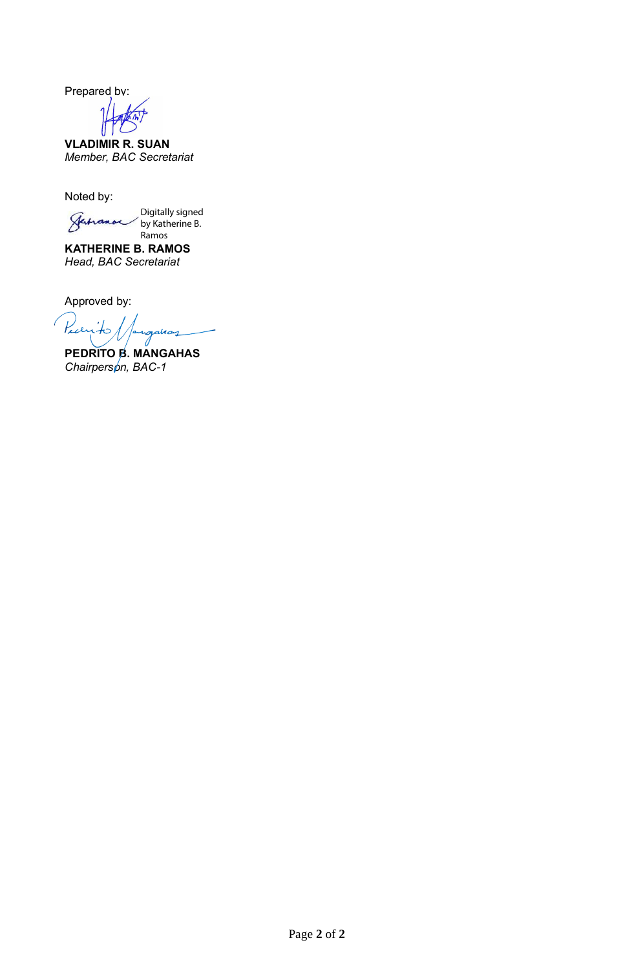Prepared by:

**VLADIMIR R. SUAN** *Member, BAC Secretariat*

Noted by:

Digitally signed by Katherine B. Ramos

**KATHERINE B. RAMOS** *Head, BAC Secretariat*

Approved by:

Prayito 1

**PEDRITO B. MANGAHAS** *Chairperson, BAC-1*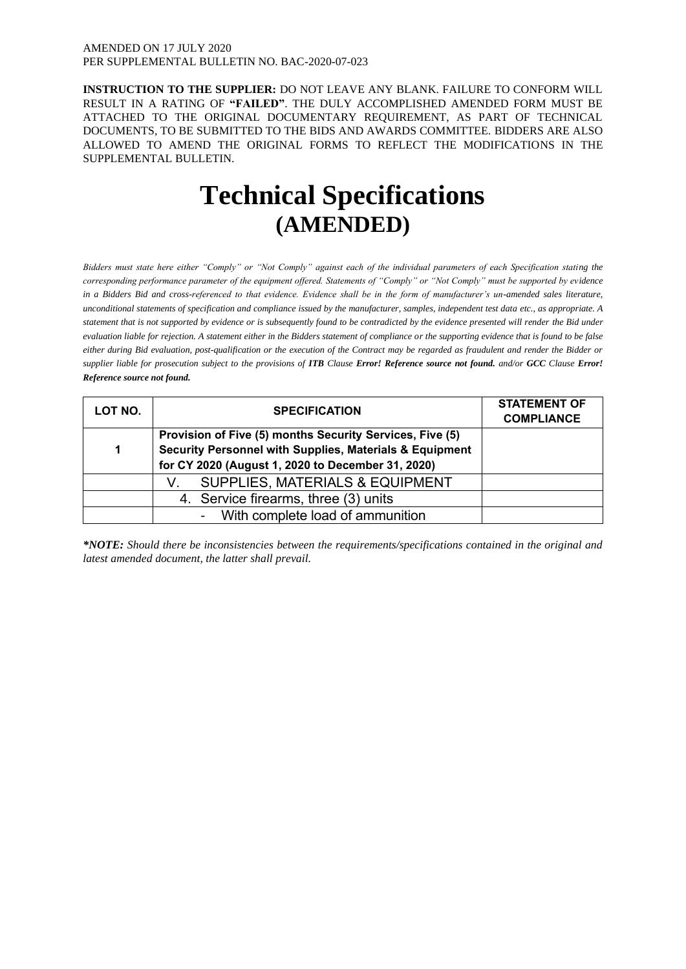#### AMENDED ON 17 JULY 2020 PER SUPPLEMENTAL BULLETIN NO. BAC-2020-07-023

**INSTRUCTION TO THE SUPPLIER:** DO NOT LEAVE ANY BLANK. FAILURE TO CONFORM WILL RESULT IN A RATING OF **"FAILED"**. THE DULY ACCOMPLISHED AMENDED FORM MUST BE ATTACHED TO THE ORIGINAL DOCUMENTARY REQUIREMENT, AS PART OF TECHNICAL DOCUMENTS, TO BE SUBMITTED TO THE BIDS AND AWARDS COMMITTEE. BIDDERS ARE ALSO ALLOWED TO AMEND THE ORIGINAL FORMS TO REFLECT THE MODIFICATIONS IN THE SUPPLEMENTAL BULLETIN.

# **Technical Specifications (AMENDED)**

*Bidders must state here either "Comply" or "Not Comply" against each of the individual parameters of each Specification stating the corresponding performance parameter of the equipment offered. Statements of "Comply" or "Not Comply" must be supported by evidence in a Bidders Bid and cross-referenced to that evidence. Evidence shall be in the form of manufacturer's un-amended sales literature, unconditional statements of specification and compliance issued by the manufacturer, samples, independent test data etc., as appropriate. A statement that is not supported by evidence or is subsequently found to be contradicted by the evidence presented will render the Bid under evaluation liable for rejection. A statement either in the Bidders statement of compliance or the supporting evidence that is found to be false either during Bid evaluation, post-qualification or the execution of the Contract may be regarded as fraudulent and render the Bidder or supplier liable for prosecution subject to the provisions of ITB Clause Error! Reference source not found. and/or GCC Clause Error! Reference source not found.*

| LOT NO. | <b>SPECIFICATION</b>                                     | <b>STATEMENT OF</b><br><b>COMPLIANCE</b> |
|---------|----------------------------------------------------------|------------------------------------------|
|         | Provision of Five (5) months Security Services, Five (5) |                                          |
| 1       | Security Personnel with Supplies, Materials & Equipment  |                                          |
|         | for CY 2020 (August 1, 2020 to December 31, 2020)        |                                          |
|         | <b>SUPPLIES, MATERIALS &amp; EQUIPMENT</b><br>V.         |                                          |
|         | 4. Service firearms, three (3) units                     |                                          |
|         | - With complete load of ammunition                       |                                          |

*\*NOTE: Should there be inconsistencies between the requirements/specifications contained in the original and latest amended document, the latter shall prevail.*